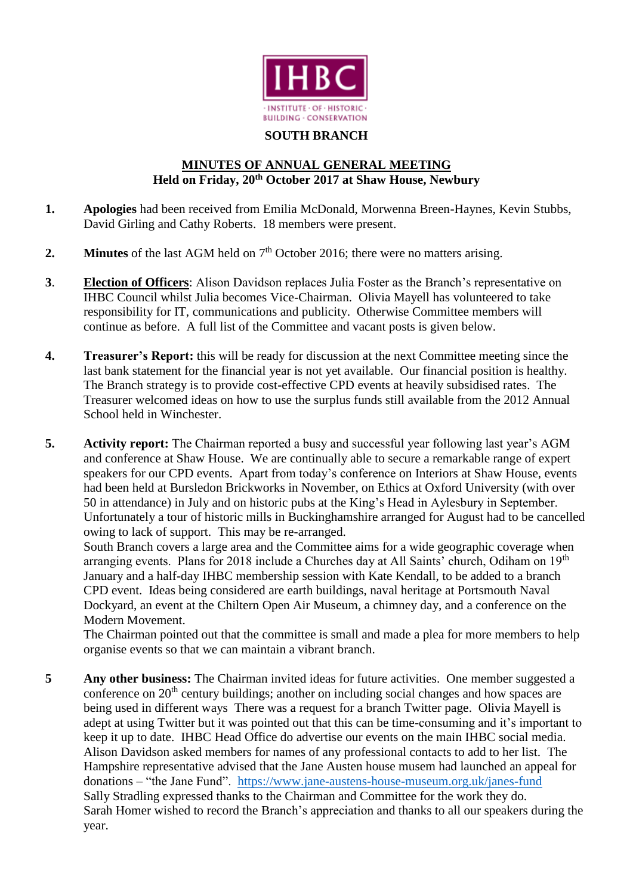

## **SOUTH BRANCH**

## **MINUTES OF ANNUAL GENERAL MEETING Held on Friday, 20th October 2017 at Shaw House, Newbury**

- **1. Apologies** had been received from Emilia McDonald, Morwenna Breen-Haynes, Kevin Stubbs, David Girling and Cathy Roberts. 18 members were present.
- **2. Minutes** of the last AGM held on 7<sup>th</sup> October 2016; there were no matters arising.
- **3**. **Election of Officers**: Alison Davidson replaces Julia Foster as the Branch's representative on IHBC Council whilst Julia becomes Vice-Chairman. Olivia Mayell has volunteered to take responsibility for IT, communications and publicity. Otherwise Committee members will continue as before. A full list of the Committee and vacant posts is given below.
- **4. Treasurer's Report:** this will be ready for discussion at the next Committee meeting since the last bank statement for the financial year is not yet available. Our financial position is healthy. The Branch strategy is to provide cost-effective CPD events at heavily subsidised rates. The Treasurer welcomed ideas on how to use the surplus funds still available from the 2012 Annual School held in Winchester.
- **5. Activity report:** The Chairman reported a busy and successful year following last year's AGM and conference at Shaw House. We are continually able to secure a remarkable range of expert speakers for our CPD events. Apart from today's conference on Interiors at Shaw House, events had been held at Bursledon Brickworks in November, on Ethics at Oxford University (with over 50 in attendance) in July and on historic pubs at the King's Head in Aylesbury in September. Unfortunately a tour of historic mills in Buckinghamshire arranged for August had to be cancelled owing to lack of support. This may be re-arranged.

South Branch covers a large area and the Committee aims for a wide geographic coverage when arranging events. Plans for 2018 include a Churches day at All Saints' church, Odiham on 19<sup>th</sup> January and a half-day IHBC membership session with Kate Kendall, to be added to a branch CPD event. Ideas being considered are earth buildings, naval heritage at Portsmouth Naval Dockyard, an event at the Chiltern Open Air Museum, a chimney day, and a conference on the Modern Movement.

The Chairman pointed out that the committee is small and made a plea for more members to help organise events so that we can maintain a vibrant branch.

**5 Any other business:** The Chairman invited ideas for future activities. One member suggested a conference on  $20<sup>th</sup>$  century buildings; another on including social changes and how spaces are being used in different ways There was a request for a branch Twitter page. Olivia Mayell is adept at using Twitter but it was pointed out that this can be time-consuming and it's important to keep it up to date. IHBC Head Office do advertise our events on the main IHBC social media. Alison Davidson asked members for names of any professional contacts to add to her list. The Hampshire representative advised that the Jane Austen house musem had launched an appeal for donations – "the Jane Fund". <https://www.jane-austens-house-museum.org.uk/janes-fund> Sally Stradling expressed thanks to the Chairman and Committee for the work they do. Sarah Homer wished to record the Branch's appreciation and thanks to all our speakers during the year.